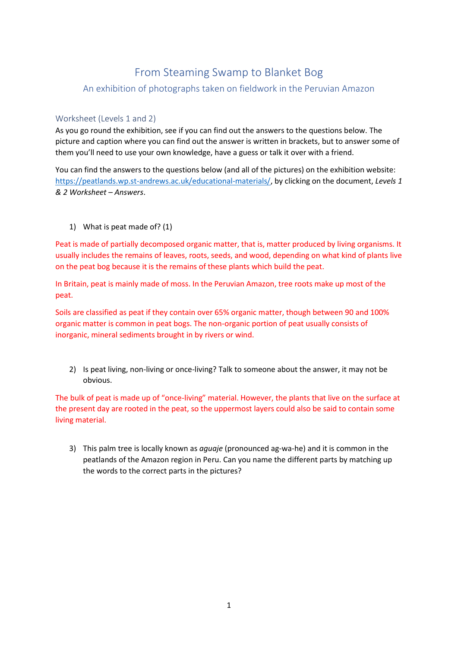## From Steaming Swamp to Blanket Bog

## An exhibition of photographs taken on fieldwork in the Peruvian Amazon

## Worksheet (Levels 1 and 2)

As you go round the exhibition, see if you can find out the answers to the questions below. The picture and caption where you can find out the answer is written in brackets, but to answer some of them you'll need to use your own knowledge, have a guess or talk it over with a friend.

You can find the answers to the questions below (and all of the pictures) on the exhibition website: [https://peatlands.wp.st-andrews.ac.uk/educational-materials/,](https://peatlands.wp.st-andrews.ac.uk/educational-materials/) by clicking on the document, *Levels 1 & 2 Worksheet – Answers*.

1) What is peat made of? (1)

Peat is made of partially decomposed organic matter, that is, matter produced by living organisms. It usually includes the remains of leaves, roots, seeds, and wood, depending on what kind of plants live on the peat bog because it is the remains of these plants which build the peat.

In Britain, peat is mainly made of moss. In the Peruvian Amazon, tree roots make up most of the peat.

Soils are classified as peat if they contain over 65% organic matter, though between 90 and 100% organic matter is common in peat bogs. The non-organic portion of peat usually consists of inorganic, mineral sediments brought in by rivers or wind.

2) Is peat living, non-living or once-living? Talk to someone about the answer, it may not be obvious.

The bulk of peat is made up of "once-living" material. However, the plants that live on the surface at the present day are rooted in the peat, so the uppermost layers could also be said to contain some living material.

3) This palm tree is locally known as *aguaje* (pronounced ag-wa-he) and it is common in the peatlands of the Amazon region in Peru. Can you name the different parts by matching up the words to the correct parts in the pictures?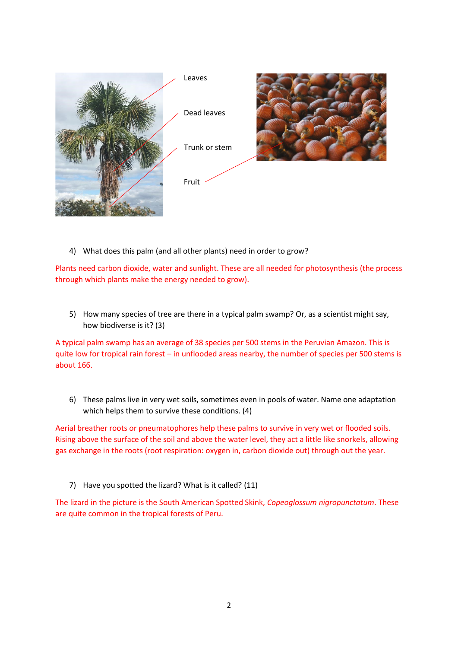

4) What does this palm (and all other plants) need in order to grow?

Plants need carbon dioxide, water and sunlight. These are all needed for photosynthesis (the process through which plants make the energy needed to grow).

5) How many species of tree are there in a typical palm swamp? Or, as a scientist might say, how biodiverse is it? (3)

A typical palm swamp has an average of 38 species per 500 stems in the Peruvian Amazon. This is quite low for tropical rain forest – in unflooded areas nearby, the number of species per 500 stems is about 166.

6) These palms live in very wet soils, sometimes even in pools of water. Name one adaptation which helps them to survive these conditions. (4)

Aerial breather roots or pneumatophores help these palms to survive in very wet or flooded soils. Rising above the surface of the soil and above the water level, they act a little like snorkels, allowing gas exchange in the roots (root respiration: oxygen in, carbon dioxide out) through out the year.

7) Have you spotted the lizard? What is it called? (11)

The lizard in the picture is the South American Spotted Skink, *Copeoglossum nigropunctatum*. These are quite common in the tropical forests of Peru.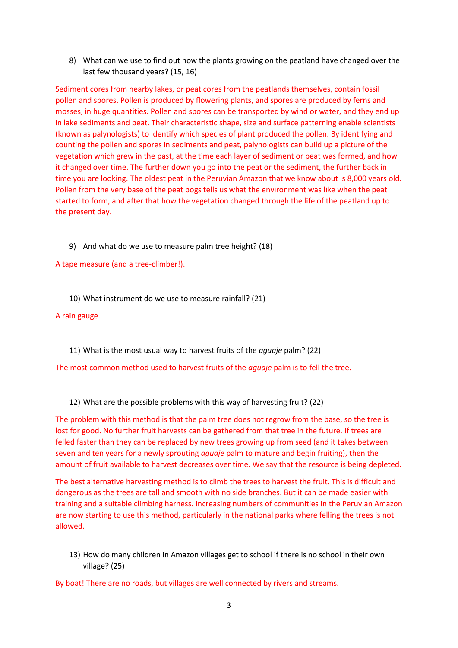8) What can we use to find out how the plants growing on the peatland have changed over the last few thousand years? (15, 16)

Sediment cores from nearby lakes, or peat cores from the peatlands themselves, contain fossil pollen and spores. Pollen is produced by flowering plants, and spores are produced by ferns and mosses, in huge quantities. Pollen and spores can be transported by wind or water, and they end up in lake sediments and peat. Their characteristic shape, size and surface patterning enable scientists (known as palynologists) to identify which species of plant produced the pollen. By identifying and counting the pollen and spores in sediments and peat, palynologists can build up a picture of the vegetation which grew in the past, at the time each layer of sediment or peat was formed, and how it changed over time. The further down you go into the peat or the sediment, the further back in time you are looking. The oldest peat in the Peruvian Amazon that we know about is 8,000 years old. Pollen from the very base of the peat bogs tells us what the environment was like when the peat started to form, and after that how the vegetation changed through the life of the peatland up to the present day.

9) And what do we use to measure palm tree height? (18)

A tape measure (and a tree-climber!).

10) What instrument do we use to measure rainfall? (21)

A rain gauge.

11) What is the most usual way to harvest fruits of the *aguaje* palm? (22)

The most common method used to harvest fruits of the *aguaje* palm is to fell the tree.

12) What are the possible problems with this way of harvesting fruit? (22)

The problem with this method is that the palm tree does not regrow from the base, so the tree is lost for good. No further fruit harvests can be gathered from that tree in the future. If trees are felled faster than they can be replaced by new trees growing up from seed (and it takes between seven and ten years for a newly sprouting *aguaje* palm to mature and begin fruiting), then the amount of fruit available to harvest decreases over time. We say that the resource is being depleted.

The best alternative harvesting method is to climb the trees to harvest the fruit. This is difficult and dangerous as the trees are tall and smooth with no side branches. But it can be made easier with training and a suitable climbing harness. Increasing numbers of communities in the Peruvian Amazon are now starting to use this method, particularly in the national parks where felling the trees is not allowed.

13) How do many children in Amazon villages get to school if there is no school in their own village? (25)

By boat! There are no roads, but villages are well connected by rivers and streams.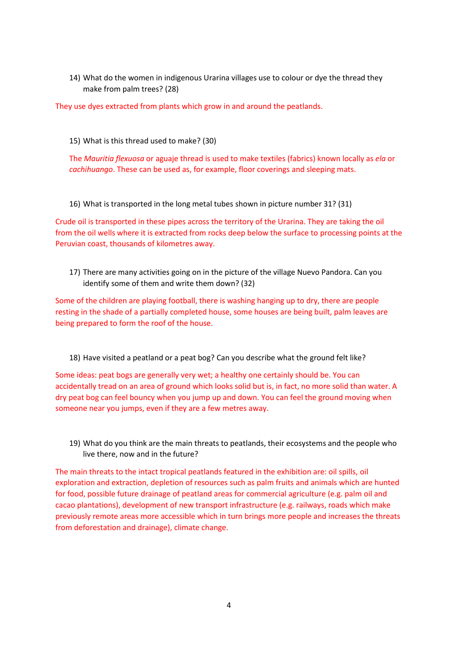14) What do the women in indigenous Urarina villages use to colour or dye the thread they make from palm trees? (28)

They use dyes extracted from plants which grow in and around the peatlands.

15) What is this thread used to make? (30)

The *Mauritia flexuosa* or aguaje thread is used to make textiles (fabrics) known locally as *ela* or *cachihuango*. These can be used as, for example, floor coverings and sleeping mats.

16) What is transported in the long metal tubes shown in picture number 31? (31)

Crude oil is transported in these pipes across the territory of the Urarina. They are taking the oil from the oil wells where it is extracted from rocks deep below the surface to processing points at the Peruvian coast, thousands of kilometres away.

17) There are many activities going on in the picture of the village Nuevo Pandora. Can you identify some of them and write them down? (32)

Some of the children are playing football, there is washing hanging up to dry, there are people resting in the shade of a partially completed house, some houses are being built, palm leaves are being prepared to form the roof of the house.

18) Have visited a peatland or a peat bog? Can you describe what the ground felt like?

Some ideas: peat bogs are generally very wet; a healthy one certainly should be. You can accidentally tread on an area of ground which looks solid but is, in fact, no more solid than water. A dry peat bog can feel bouncy when you jump up and down. You can feel the ground moving when someone near you jumps, even if they are a few metres away.

19) What do you think are the main threats to peatlands, their ecosystems and the people who live there, now and in the future?

The main threats to the intact tropical peatlands featured in the exhibition are: oil spills, oil exploration and extraction, depletion of resources such as palm fruits and animals which are hunted for food, possible future drainage of peatland areas for commercial agriculture (e.g. palm oil and cacao plantations), development of new transport infrastructure (e.g. railways, roads which make previously remote areas more accessible which in turn brings more people and increases the threats from deforestation and drainage), climate change.